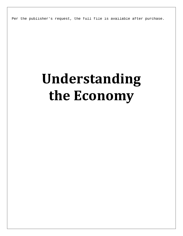Per the publisher's request, the full file is available after purchase.

## **Understanding the Economy**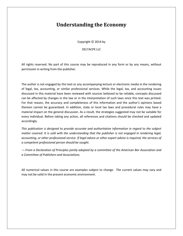## **Understanding the Economy**

Copyright  $\odot$  2014 by

DELTACPE LLC

All rights reserved. No part of this course may be reproduced in any form or by any means, without permission in writing from the publisher.

The author is not engaged by this text or any accompanying lecture or electronic media in the rendering of legal, tax, accounting, or similar professional services. While the legal, tax, and accounting issues discussed in this material have been reviewed with sources believed to be reliable, concepts discussed can be affected by changes in the law or in the interpretation of such laws since this text was printed. For that reason, the accuracy and completeness of this information and the author's opinions based thereon cannot be guaranteed. In addition, state or local tax laws and procedural rules may have a material impact on the general discussion. As a result, the strategies suggested may not be suitable for every individual. Before taking any action, all references and citations should be checked and updated accordingly.

*This publication is designed to provide accurate and authoritative information in regard to the subject matter covered. It is sold with the understanding that the publisher is not engaged in rendering legal, accounting, or other professional service. If legal advice or other expert advice is required, the services of a competent professional person should be sought.*

*—-From a Declaration of Principles jointly adopted by a committee of the American Bar Association and a Committee of Publishers and Associations.*

All numerical values in this course are examples subject to change. The current values may vary and may not be valid in the present economic environment.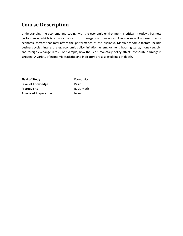## **Course Description**

Understanding the economy and coping with the economic environment is critical in today's business performance, which is a major concern for managers and investors. The course will address macroeconomic factors that may affect the performance of the business. Macro-economic factors include business cycles, interest rates, economic policy, inflation, unemployment, housing starts, money supply, and foreign exchange rates. For example, how the Fed's monetary policy affects corporate earnings is stressed. A variety of economic statistics and indicators are also explained in depth.

**Field of Study Economics Level of Knowledge** Basic **Prerequisite** Basic Math **Advanced Preparation** None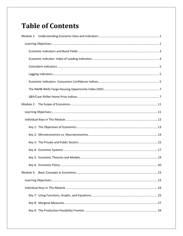## **Table of Contents**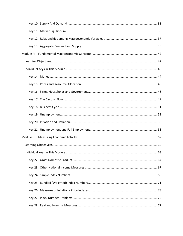| Module 5: |  |
|-----------|--|
|           |  |
|           |  |
|           |  |
|           |  |
|           |  |
|           |  |
|           |  |
|           |  |
|           |  |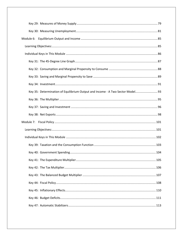| Module 6:                                                                      |  |
|--------------------------------------------------------------------------------|--|
|                                                                                |  |
|                                                                                |  |
|                                                                                |  |
|                                                                                |  |
|                                                                                |  |
|                                                                                |  |
| Key 35: Determination of Equilibrium Output and Income - A Two Sector Model 93 |  |
|                                                                                |  |
|                                                                                |  |
|                                                                                |  |
|                                                                                |  |
|                                                                                |  |
|                                                                                |  |
|                                                                                |  |
|                                                                                |  |
|                                                                                |  |
|                                                                                |  |
|                                                                                |  |
|                                                                                |  |
|                                                                                |  |
|                                                                                |  |
|                                                                                |  |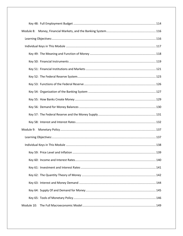| Module 8: |  |
|-----------|--|
|           |  |
|           |  |
|           |  |
|           |  |
|           |  |
|           |  |
|           |  |
|           |  |
|           |  |
|           |  |
|           |  |
|           |  |
|           |  |
|           |  |
|           |  |
|           |  |
|           |  |
|           |  |
|           |  |
|           |  |
|           |  |
|           |  |
|           |  |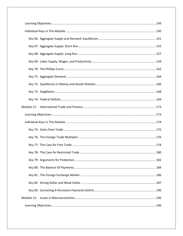| Module 12: |  |
|------------|--|
|            |  |